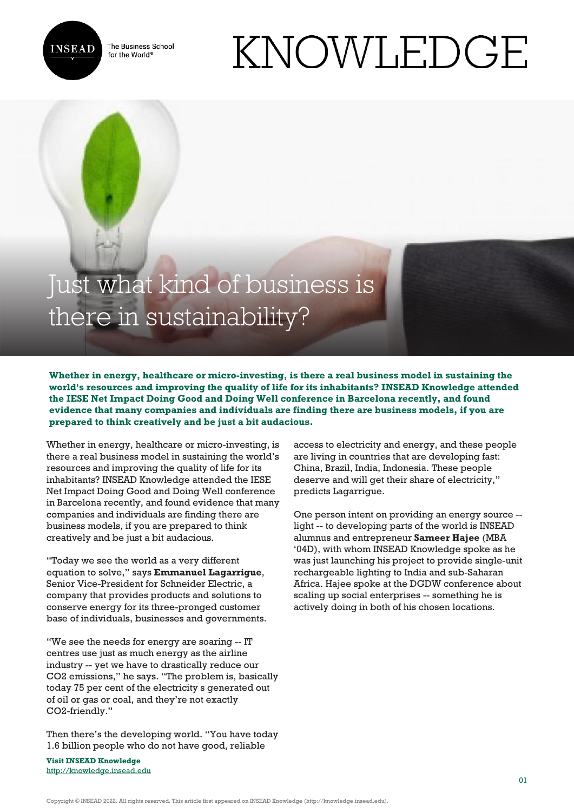The Business School for the World<sup>®</sup>



## KNOWLEDGE

## Just what kind of business is there in sustainability?

**Whether in energy, healthcare or micro-investing, is there a real business model in sustaining the world's resources and improving the quality of life for its inhabitants? INSEAD Knowledge attended the IESE Net Impact Doing Good and Doing Well conference in Barcelona recently, and found evidence that many companies and individuals are finding there are business models, if you are prepared to think creatively and be just a bit audacious.**

Whether in energy, healthcare or micro-investing, is there a real business model in sustaining the world's resources and improving the quality of life for its inhabitants? INSEAD Knowledge attended the IESE Net Impact Doing Good and Doing Well conference in Barcelona recently, and found evidence that many companies and individuals are finding there are business models, if you are prepared to think creatively and be just a bit audacious.

"Today we see the world as a very different equation to solve," says **Emmanuel Lagarrigue**, Senior Vice-President for Schneider Electric, a company that provides products and solutions to conserve energy for its three-pronged customer base of individuals, businesses and governments.

"We see the needs for energy are soaring -- IT centres use just as much energy as the airline industry -- yet we have to drastically reduce our CO2 emissions," he says. "The problem is, basically today 75 per cent of the electricity s generated out of oil or gas or coal, and they're not exactly CO2-friendly."

Then there's the developing world. "You have today 1.6 billion people who do not have good, reliable

**Visit INSEAD Knowledge** <http://knowledge.insead.edu>

access to electricity and energy, and these people are living in countries that are developing fast: China, Brazil, India, Indonesia. These people deserve and will get their share of electricity," predicts Lagarrigue.

One person intent on providing an energy source - light -- to developing parts of the world is INSEAD alumnus and entrepreneur **Sameer Hajee** (MBA '04D), with whom INSEAD Knowledge spoke as he was just launching his project to provide single-unit rechargeable lighting to India and sub-Saharan Africa. Hajee spoke at the DGDW conference about scaling up social enterprises -- something he is actively doing in both of his chosen locations.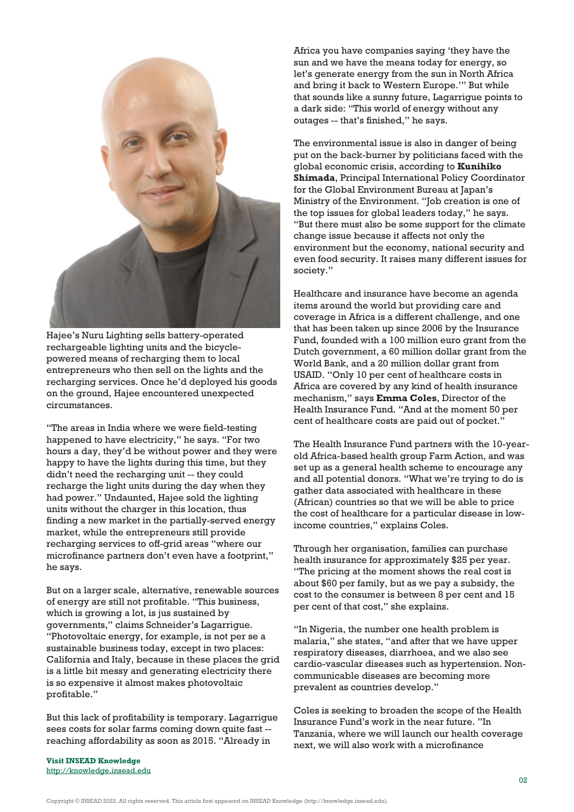

Hajee's Nuru Lighting sells battery-operated rechargeable lighting units and the bicyclepowered means of recharging them to local entrepreneurs who then sell on the lights and the recharging services. Once he'd deployed his goods on the ground, Hajee encountered unexpected circumstances.

"The areas in India where we were field-testing happened to have electricity," he says. "For two hours a day, they'd be without power and they were happy to have the lights during this time, but they didn't need the recharging unit -- they could recharge the light units during the day when they had power." Undaunted, Hajee sold the lighting units without the charger in this location, thus finding a new market in the partially-served energy market, while the entrepreneurs still provide recharging services to off-grid areas "where our microfinance partners don't even have a footprint," he says.

But on a larger scale, alternative, renewable sources of energy are still not profitable. "This business, which is growing a lot, is jus sustained by governments," claims Schneider's Lagarrigue. "Photovoltaic energy, for example, is not per se a sustainable business today, except in two places: California and Italy, because in these places the grid is a little bit messy and generating electricity there is so expensive it almost makes photovoltaic profitable."

But this lack of profitability is temporary. Lagarrigue sees costs for solar farms coming down quite fast - reaching affordability as soon as 2015. "Already in

**Visit INSEAD Knowledge** <http://knowledge.insead.edu> Africa you have companies saying 'they have the sun and we have the means today for energy, so let's generate energy from the sun in North Africa and bring it back to Western Europe.'" But while that sounds like a sunny future, Lagarrigue points to a dark side: "This world of energy without any outages -- that's finished," he says.

The environmental issue is also in danger of being put on the back-burner by politicians faced with the global economic crisis, according to **Kunihiko Shimada**, Principal International Policy Coordinator for the Global Environment Bureau at Japan's Ministry of the Environment. "Job creation is one of the top issues for global leaders today," he says. "But there must also be some support for the climate change issue because it affects not only the environment but the economy, national security and even food security. It raises many different issues for society."

Healthcare and insurance have become an agenda items around the world but providing care and coverage in Africa is a different challenge, and one that has been taken up since 2006 by the Insurance Fund, founded with a 100 million euro grant from the Dutch government, a 60 million dollar grant from the World Bank, and a 20 million dollar grant from USAID. "Only 10 per cent of healthcare costs in Africa are covered by any kind of health insurance mechanism," says **Emma Coles**, Director of the Health Insurance Fund. "And at the moment 50 per cent of healthcare costs are paid out of pocket."

The Health Insurance Fund partners with the 10-yearold Africa-based health group Farm Action, and was set up as a general health scheme to encourage any and all potential donors. "What we're trying to do is gather data associated with healthcare in these (African) countries so that we will be able to price the cost of healthcare for a particular disease in lowincome countries," explains Coles.

Through her organisation, families can purchase health insurance for approximately \$25 per year. "The pricing at the moment shows the real cost is about \$60 per family, but as we pay a subsidy, the cost to the consumer is between 8 per cent and 15 per cent of that cost," she explains.

"In Nigeria, the number one health problem is malaria," she states, "and after that we have upper respiratory diseases, diarrhoea, and we also see cardio-vascular diseases such as hypertension. Noncommunicable diseases are becoming more prevalent as countries develop."

Coles is seeking to broaden the scope of the Health Insurance Fund's work in the near future. "In Tanzania, where we will launch our health coverage next, we will also work with a microfinance

Copyright © INSEAD 2022. All rights reserved. This article first appeared on INSEAD Knowledge (http://knowledge.insead.edu).